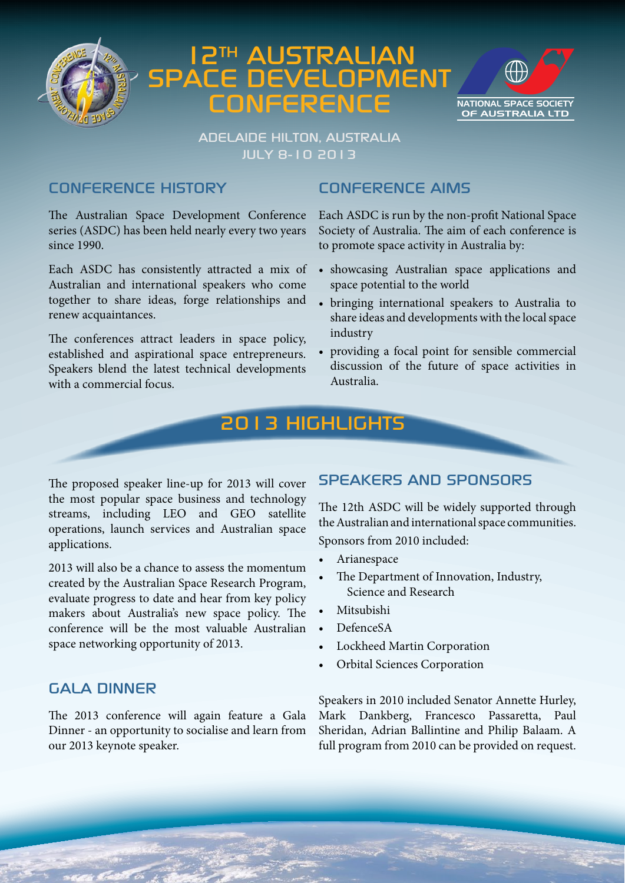

# 12th Australian Space Development **CONFERENCE**



## Adelaide Hilton, Australia July 8-10 2013

## Conference History

The Australian Space Development Conference series (ASDC) has been held nearly every two years since 1990.

Each ASDC has consistently attracted a mix of Australian and international speakers who come together to share ideas, forge relationships and renew acquaintances.

The conferences attract leaders in space policy, established and aspirational space entrepreneurs. Speakers blend the latest technical developments with a commercial focus.

## CONFERENCE AIMS

Each ASDC is run by the non-profit National Space Society of Australia. The aim of each conference is to promote space activity in Australia by:

- • showcasing Australian space applications and space potential to the world
- • bringing international speakers to Australia to share ideas and developments with the local space industry
- providing a focal point for sensible commercial discussion of the future of space activities in Australia.

# 2013 Highlights

The proposed speaker line-up for 2013 will cover the most popular space business and technology streams, including LEO and GEO satellite operations, launch services and Australian space applications.

2013 will also be a chance to assess the momentum created by the Australian Space Research Program, evaluate progress to date and hear from key policy makers about Australia's new space policy. The conference will be the most valuable Australian space networking opportunity of 2013.

## GALA DINNER

The 2013 conference will again feature a Gala Dinner - an opportunity to socialise and learn from our 2013 keynote speaker.

## SPEAKERS AND SPONSORS

The 12th ASDC will be widely supported through the Australian and international space communities. Sponsors from 2010 included:

- **Arianespace**
- The Department of Innovation, Industry, Science and Research
- • Mitsubishi
- DefenceSA
- Lockheed Martin Corporation
- **Orbital Sciences Corporation**

Speakers in 2010 included Senator Annette Hurley, Mark Dankberg, Francesco Passaretta, Paul Sheridan, Adrian Ballintine and Philip Balaam. A full program from 2010 can be provided on request.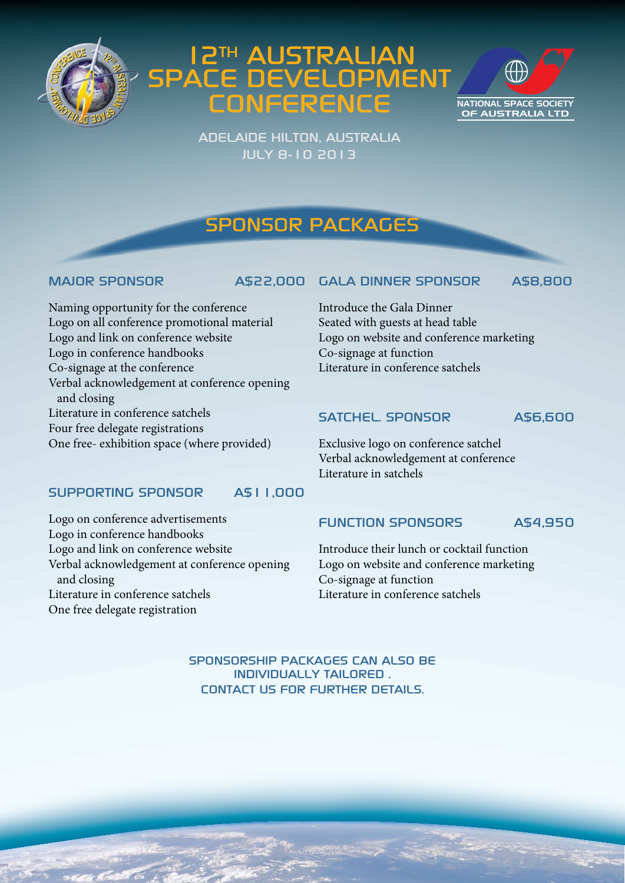

# 12th Australian Space Development **CONFERENCE**



Adelaide Hilton, Australia July 8-10 2013

# Sponsor Packages

## MAJOR SPONSOR A\$22,000

GALA DINNER SPONSOR A\$8,800

Naming opportunity for the conference Logo on all conference promotional material Logo and link on conference website Logo in conference handbooks Co-signage at the conference Verbal acknowledgement at conference opening and closing Literature in conference satchels Four free delegate registrations One free- exhibition space (where provided)

## Introduce the Gala Dinner Seated with guests at head table Logo on website and conference marketing Co-signage at function Literature in conference satchels

## SATCHEL. SPONSOR A\$6,600

Exclusive logo on conference satchel Verbal acknowledgement at conference Literature in satchels

## SUPPORTING SPONSOR A\$11,000

Logo on conference advertisements Logo in conference handbooks Logo and link on conference website Verbal acknowledgement at conference opening and closing Literature in conference satchels One free delegate registration

## FUNCTION SPONSORS A\$4,950

Introduce their lunch or cocktail function Logo on website and conference marketing Co-signage at function Literature in conference satchels

SPONSORSHIP PACKAGES CAN ALSO BE INDIVIDUALLY TAILORED . CONTACT US FOR FURTHER DETAILS.